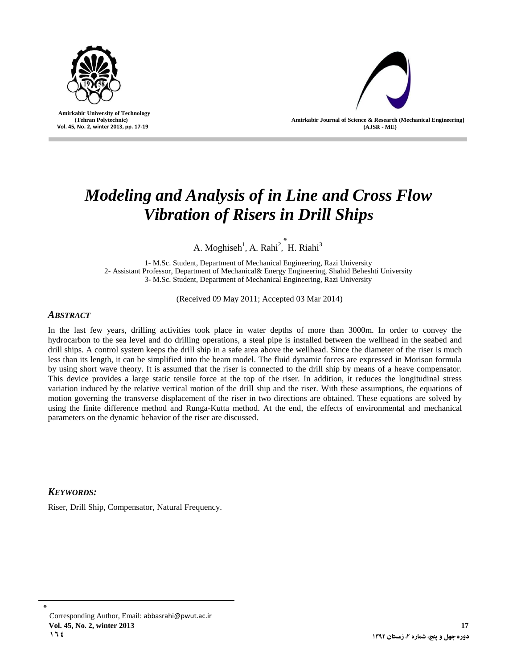

 **Amirkabir University of Technology (Tehran Polytechnic) Vol. 45, No. 2, winter 2013, pp. 17-19**



**Amirkabir Journal of Science & Research (Mechanical Engineering) (AJSR - ME)**

# *Modeling and Analysis of in Line and Cross Flow Vibration of Risers in Drill Ships*

A. Moghiseh<sup>1</sup>, A. Rahi<sup>2</sup>, <sup>\*</sup>H. Riahi<sup>3</sup>

1- M.Sc. Student, Department of Mechanical Engineering, Razi University 2- Assistant Professor, Department of Mechanical& Energy Engineering, Shahid Beheshti University 3- M.Sc. Student, Department of Mechanical Engineering, Razi University

(Received 09 May 2011; Accepted 03 Mar 2014)

## *ABSTRACT*

In the last few years, drilling activities took place in water depths of more than 3000m. In order to convey the hydrocarbon to the sea level and do drilling operations, a steal pipe is installed between the wellhead in the seabed and drill ships. A control system keeps the drill ship in a safe area above the wellhead. Since the diameter of the riser is much less than its length, it can be simplified into the beam model. The fluid dynamic forces are expressed in Morison formula by using short wave theory. It is assumed that the riser is connected to the drill ship by means of a heave compensator. This device provides a large static tensile force at the top of the riser. In addition, it reduces the longitudinal stress variation induced by the relative vertical motion of the drill ship and the riser. With these assumptions, the equations of motion governing the transverse displacement of the riser in two directions are obtained. These equations are solved by using the finite difference method and Runga-Kutta method. At the end, the effects of environmental and mechanical parameters on the dynamic behavior of the riser are discussed.

*KEYWORDS:*

Riser, Drill Ship, Compensator, Natural Frequency.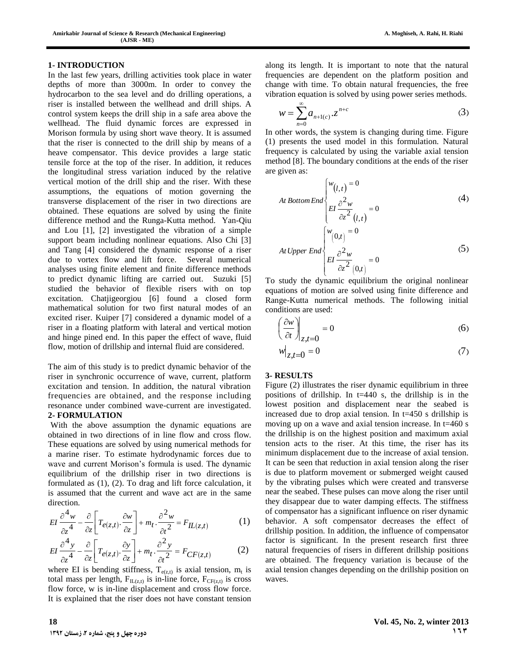#### **1- INTRODUCTION**

In the last few years, drilling activities took place in water depths of more than 3000m. In order to convey the hydrocarbon to the sea level and do drilling operations, a riser is installed between the wellhead and drill ships. A control system keeps the drill ship in a safe area above the wellhead. The fluid dynamic forces are expressed in Morison formula by using short wave theory. It is assumed that the riser is connected to the drill ship by means of a heave compensator. This device provides a large static tensile force at the top of the riser. In addition, it reduces the longitudinal stress variation induced by the relative vertical motion of the drill ship and the riser. With these assumptions, the equations of motion governing the transverse displacement of the riser in two directions are obtained. These equations are solved by using the finite difference method and the Runga-Kutta method. Yan-Qiu and Lou [1], [2] investigated the vibration of a simple support beam including nonlinear equations. Also Chi [3] and Tang [4] considered the dynamic response of a riser due to vortex flow and lift force. Several numerical analyses using finite element and finite difference methods to predict dynamic lifting are carried out. Suzuki [5] studied the behavior of flexible risers with on top excitation. Chatjigeorgiou [6] found a closed form mathematical solution for two first natural modes of an excited riser. Kuiper [7] considered a dynamic model of a riser in a floating platform with lateral and vertical motion and hinge pined end. In this paper the effect of wave, fluid flow, motion of drillship and internal fluid are considered.

The aim of this study is to predict dynamic behavior of the riser in synchronic occurrence of wave, current, platform excitation and tension. In addition, the natural vibration frequencies are obtained, and the response including resonance under combined wave-current are investigated. **2- FORMULATION**

With the above assumption the dynamic equations are obtained in two directions of in line flow and cross flow. These equations are solved by using numerical methods for a marine riser. To estimate hydrodynamic forces due to wave and current Morison's formula is used. The dynamic equilibrium of the drillship riser in two directions is formulated as (1), (2). To drag and lift force calculation, it is assumed that the current and wave act are in the same direction.

$$
EI\frac{\partial^4 w}{\partial z^4} - \frac{\partial}{\partial z} \left[ T_{e(z,t)} \cdot \frac{\partial w}{\partial z} \right] + m_t \cdot \frac{\partial^2 w}{\partial t^2} = F_{IL(z,t)} \tag{1}
$$

$$
EI\frac{\partial^4 y}{\partial z^4} - \frac{\partial}{\partial z} \left[ T_{e(z,t)} \cdot \frac{\partial y}{\partial z} \right] + m_t \cdot \frac{\partial^2 y}{\partial t^2} = F_{CF(z,t)}
$$
(2)

where EI is bending stiffness,  $T_{e(z,t)}$  is axial tension,  $m_t$  is total mass per length,  $F_{IL(z,t)}$  is in-line force,  $F_{CF(z,t)}$  is cross flow force, w is in-line displacement and cross flow force. It is explained that the riser does not have constant tension

along its length. It is important to note that the natural frequencies are dependent on the platform position and change with time. To obtain natural frequencies, the free vibration equation is solved by using power series methods.

$$
w = \sum_{n=0}^{\infty} a_{n+1(c)} z^{n+c}
$$
 (3)

In other words, the system is changing during time. Figure (1) presents the used model in this formulation. Natural frequency is calculated by using the variable axial tension method [8]. The boundary conditions at the ends of the riser are given as:

At Bottom End  
\n
$$
At Bottom End
$$
\n
$$
EI \frac{\partial^2 w}{\partial z^2} = 0
$$
\n
$$
At Upper End
$$
\n
$$
EI \frac{w(0,t)}{\partial z^2} = 0
$$
\n
$$
B = 0
$$
\n
$$
I = 0
$$
\n
$$
I = 0
$$
\n(4)

To study the dynamic equilibrium the original nonlinear equations of motion are solved using finite difference and Range-Kutta numerical methods. The following initial conditions are used:

$$
\left(\frac{\partial w}{\partial t}\right)_{z,t=0} = 0\tag{6}
$$

$$
w\big|_{z,t=0}=0\tag{7}
$$

### **3- RESULTS**

Figure (2) illustrates the riser dynamic equilibrium in three positions of drillship. In t=440 s, the drillship is in the lowest position and displacement near the seabed is increased due to drop axial tension. In t=450 s drillship is moving up on a wave and axial tension increase. In t=460 s the drillship is on the highest position and maximum axial tension acts to the riser. At this time, the riser has its minimum displacement due to the increase of axial tension. It can be seen that reduction in axial tension along the riser is due to platform movement or submerged weight caused by the vibrating pulses which were created and transverse near the seabed. These pulses can move along the riser until they disappear due to water damping effects. The stiffness of compensator has a significant influence on riser dynamic behavior. A soft compensator decreases the effect of drillship position. In addition, the influence of compensator factor is significant. In the present research first three natural frequencies of risers in different drillship positions are obtained. The frequency variation is because of the axial tension changes depending on the drillship position on waves.